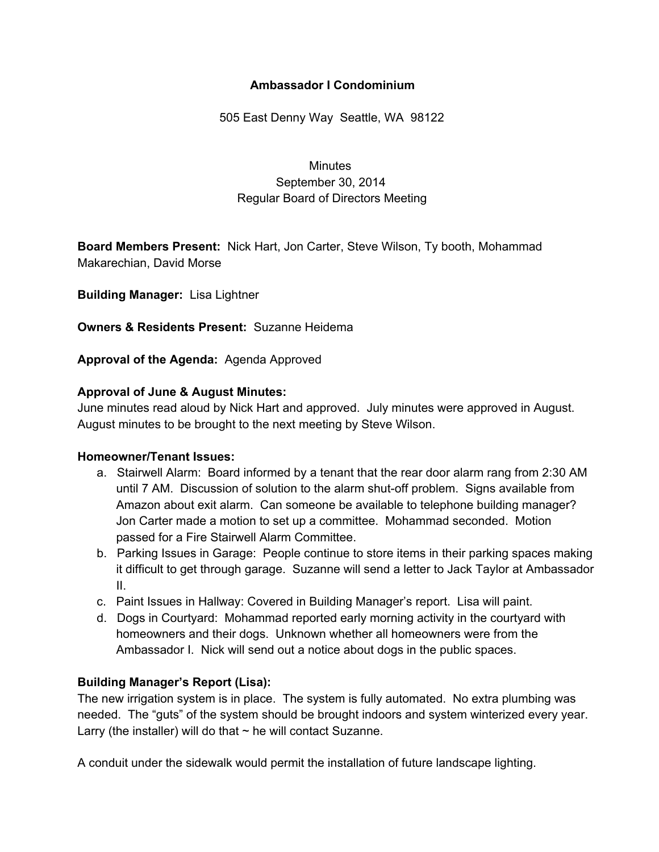## **Ambassador I Condominium**

505 East Denny Way Seattle, WA 98122

**Minutes** September 30, 2014 Regular Board of Directors Meeting

**Board Members Present:** Nick Hart, Jon Carter, Steve Wilson, Ty booth, Mohammad Makarechian, David Morse

**Building Manager:** Lisa Lightner

**Owners & Residents Present:** Suzanne Heidema

**Approval of the Agenda:** Agenda Approved

### **Approval of June & August Minutes:**

June minutes read aloud by Nick Hart and approved. July minutes were approved in August. August minutes to be brought to the next meeting by Steve Wilson.

### **Homeowner/Tenant Issues:**

- a. Stairwell Alarm: Board informed by a tenant that the rear door alarm rang from 2:30 AM until 7 AM. Discussion of solution to the alarm shut-off problem. Signs available from Amazon about exit alarm. Can someone be available to telephone building manager? Jon Carter made a motion to set up a committee. Mohammad seconded. Motion passed for a Fire Stairwell Alarm Committee.
- b. Parking Issues in Garage: People continue to store items in their parking spaces making it difficult to get through garage. Suzanne will send a letter to Jack Taylor at Ambassador II.
- c. Paint Issues in Hallway: Covered in Building Manager's report. Lisa will paint.
- d. Dogs in Courtyard: Mohammad reported early morning activity in the courtyard with homeowners and their dogs. Unknown whether all homeowners were from the Ambassador I. Nick will send out a notice about dogs in the public spaces.

# **Building Manager's Report (Lisa):**

The new irrigation system is in place. The system is fully automated. No extra plumbing was needed. The "guts" of the system should be brought indoors and system winterized every year. Larry (the installer) will do that  $\sim$  he will contact Suzanne.

A conduit under the sidewalk would permit the installation of future landscape lighting.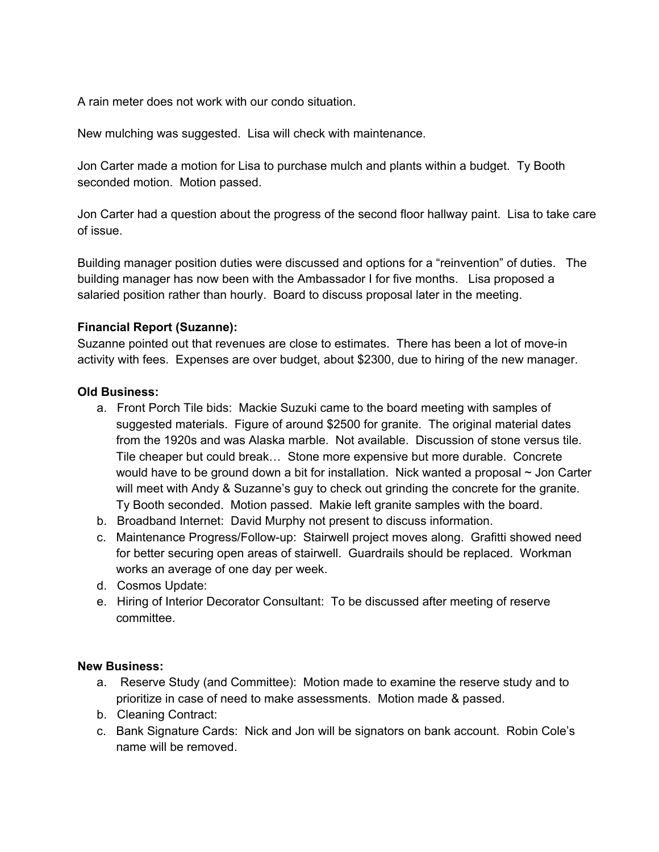A rain meter does not work with our condo situation.

New mulching was suggested. Lisa will check with maintenance.

Jon Carter made a motion for Lisa to purchase mulch and plants within a budget. Ty Booth seconded motion. Motion passed.

Jon Carter had a question about the progress of the second floor hallway paint. Lisa to take care of issue.

Building manager position duties were discussed and options for a "reinvention" of duties. The building manager has now been with the Ambassador I for five months. Lisa proposed a salaried position rather than hourly. Board to discuss proposal later in the meeting.

## **Financial Report (Suzanne):**

Suzanne pointed out that revenues are close to estimates. There has been a lot of move-in activity with fees. Expenses are over budget, about \$2300, due to hiring of the new manager.

## **Old Business:**

- a. Front Porch Tile bids: Mackie Suzuki came to the board meeting with samples of suggested materials. Figure of around \$2500 for granite. The original material dates from the 1920s and was Alaska marble. Not available. Discussion of stone versus tile. Tile cheaper but could break… Stone more expensive but more durable. Concrete would have to be ground down a bit for installation. Nick wanted a proposal ~ Jon Carter will meet with Andy & Suzanne's guy to check out grinding the concrete for the granite. Ty Booth seconded. Motion passed. Makie left granite samples with the board.
- b. Broadband Internet: David Murphy not present to discuss information.
- c. Maintenance Progress/Follow-up: Stairwell project moves along. Grafitti showed need for better securing open areas of stairwell. Guardrails should be replaced. Workman works an average of one day per week.
- d. Cosmos Update:
- e. Hiring of Interior Decorator Consultant: To be discussed after meeting of reserve committee.

### **New Business:**

- a. Reserve Study (and Committee): Motion made to examine the reserve study and to prioritize in case of need to make assessments. Motion made & passed.
- b. Cleaning Contract:
- c. Bank Signature Cards: Nick and Jon will be signators on bank account. Robin Cole's name will be removed.